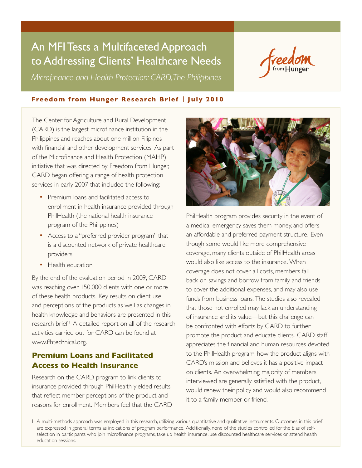# An MFI Tests a Multifaceted Approach to Addressing Clients' Healthcare Needs

*Microfinance and Health Protection: CARD, The Philippines*



### **Freedom from Hunger Research Brief | July 2010**

The Center for Agriculture and Rural Development (CARD) is the largest microfinance institution in the Philippines and reaches about one million Filipinos with financial and other development services. As part of the Microfinance and Health Protection (MAHP) initiative that was directed by Freedom from Hunger, CARD began offering a range of health protection services in early 2007 that included the following:

- **Premium loans and facilitated access to** enrollment in health insurance provided through PhilHealth (the national health insurance program of the Philippines)
- Access to a "preferred provider program" that is a discounted network of private healthcare providers
- Health education

By the end of the evaluation period in 2009, CARD was reaching over 150,000 clients with one or more of these health products. Key results on client use and perceptions of the products as well as changes in health knowledge and behaviors are presented in this research brief.<sup>1</sup> A detailed report on all of the research activities carried out for CARD can be found at [www.ffhtechnical.org](http://ffhtechnical.org).

# **Premium Loans and Facilitated Access to Health Insurance**

Research on the CARD program to link clients to insurance provided through PhilHealth yielded results that reflect member perceptions of the product and reasons for enrollment. Members feel that the CARD



PhilHealth program provides security in the event of a medical emergency, saves them money, and offers an affordable and preferred payment structure. Even though some would like more comprehensive coverage, many clients outside of PhilHealth areas would also like access to the insurance. When coverage does not cover all costs, members fall back on savings and borrow from family and friends to cover the additional expenses, and may also use funds from business loans. The studies also revealed that those not enrolled may lack an understanding of insurance and its value—but this challenge can be confronted with efforts by CARD to further promote the product and educate clients. CARD staff appreciates the financial and human resources devoted to the PhilHealth program, how the product aligns with CARD's mission and believes it has a positive impact on clients. An overwhelming majority of members interviewed are generally satisfied with the product, would renew their policy and would also recommend it to a family member or friend.

1 A multi-methods approach was employed in this research, utilizing various quantitative and qualitative instruments. Outcomes in this brief are expressed in general terms as indications of program performance. Additionally, none of the studies controlled for the bias of selfselection in participants who join microfinance programs, take up health insurance, use discounted healthcare services or attend health education sessions.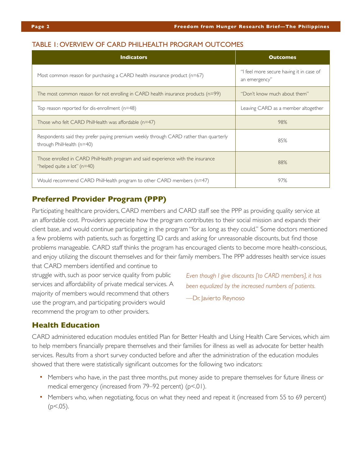#### TABLE 1: OVERVIEW OF CARD PHILHEALTH PROGRAM OUTCOMES

| <b>Indicators</b>                                                                                                  | <b>Outcomes</b>                                           |
|--------------------------------------------------------------------------------------------------------------------|-----------------------------------------------------------|
| Most common reason for purchasing a CARD health insurance product $(n=67)$                                         | "I feel more secure having it in case of<br>an emergency" |
| The most common reason for not enrolling in CARD health insurance products (n=99)                                  | "Don't know much about them"                              |
| Top reason reported for dis-enrollment $(n=48)$                                                                    | Leaving CARD as a member altogether                       |
| Those who felt CARD PhilHealth was affordable $(n=47)$                                                             | 98%                                                       |
| Respondents said they prefer paying premium weekly through CARD rather than quarterly<br>through PhilHealth (n=40) | 85%                                                       |
| Those enrolled in CARD PhilHealth program and said experience with the insurance<br>"helped quite a lot" $(n=40)$  | 88%                                                       |
| Would recommend CARD PhilHealth program to other CARD members (n=47)                                               | 97%                                                       |

# **Preferred Provider Program (PPP)**

Participating healthcare providers, CARD members and CARD staff see the PPP as providing quality service at an affordable cost. Providers appreciate how the program contributes to their social mission and expands their client base, and would continue participating in the program "for as long as they could." Some doctors mentioned a few problems with patients, such as forgetting ID cards and asking for unreasonable discounts, but find those problems manageable. CARD staff thinks the program has encouraged clients to become more health-conscious, and enjoy utilizing the discount themselves and for their family members. The PPP addresses health service issues that CARD members identified and continue to

struggle with, such as poor service quality from public services and affordability of private medical services. A majority of members would recommend that others use the program, and participating providers would recommend the program to other providers.

*Even though I give discounts [to CARD members], it has been equalized by the increased numbers of patients.*

—Dr. Javierto Reynoso

#### **Health Education**

CARD administered education modules entitled Plan for Better Health and Using Health Care Services, which aim to help members financially prepare themselves and their families for illness as well as advocate for better health services. Results from a short survey conducted before and after the administration of the education modules showed that there were statistically significant outcomes for the following two indicators:

- Members who have, in the past three months, put money aside to prepare themselves for future illness or medical emergency (increased from 79–92 percent) (p<.01).
- Members who, when negotiating, focus on what they need and repeat it (increased from 55 to 69 percent)  $(p<.05)$ .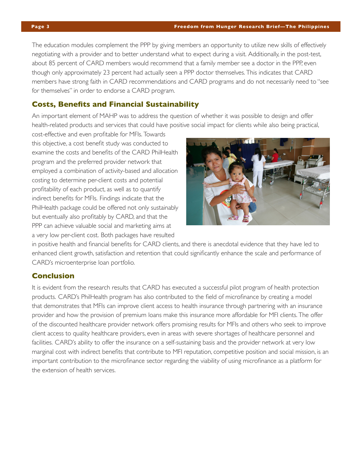The education modules complement the PPP by giving members an opportunity to utilize new skills of effectively negotiating with a provider and to better understand what to expect during a visit. Additionally, in the post-test, about 85 percent of CARD members would recommend that a family member see a doctor in the PPP, even though only approximately 23 percent had actually seen a PPP doctor themselves. This indicates that CARD members have strong faith in CARD recommendations and CARD programs and do not necessarily need to "see for themselves" in order to endorse a CARD program.

# **Costs, Benefits and Financial Sustainability**

An important element of MAHP was to address the question of whether it was possible to design and offer health-related products and services that could have positive social impact for clients while also being practical,

cost-effective and even profitable for MFIs. Towards this objective, a cost benefit study was conducted to examine the costs and benefits of the CARD PhilHealth program and the preferred provider network that employed a combination of activity-based and allocation costing to determine per-client costs and potential profitability of each product, as well as to quantify indirect benefits for MFIs. Findings indicate that the PhilHealth package could be offered not only sustainably but eventually also profitably by CARD, and that the PPP can achieve valuable social and marketing aims at a very low per-client cost. Both packages have resulted



in positive health and financial benefits for CARD clients, and there is anecdotal evidence that they have led to enhanced client growth, satisfaction and retention that could significantly enhance the scale and performance of CARD's microenterprise loan portfolio.

## **Conclusion**

It is evident from the research results that CARD has executed a successful pilot program of health protection products. CARD's PhilHealth program has also contributed to the field of microfinance by creating a model that demonstrates that MFIs can improve client access to health insurance through partnering with an insurance provider and how the provision of premium loans make this insurance more affordable for MFI clients. The offer of the discounted healthcare provider network offers promising results for MFIs and others who seek to improve client access to quality healthcare providers, even in areas with severe shortages of healthcare personnel and facilities. CARD's ability to offer the insurance on a self-sustaining basis and the provider network at very low marginal cost with indirect benefits that contribute to MFI reputation, competitive position and social mission, is an important contribution to the microfinance sector regarding the viability of using microfinance as a platform for the extension of health services.